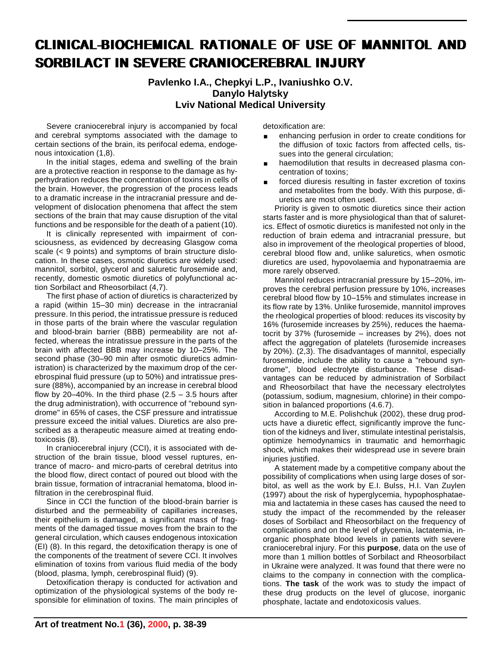# CLINICAL-BIOCHEMICAL RATIONALE OF USE OF MANNITOL AND SORBILACT IN SEVERE CRANIOCEREBRAL INJURY

**Pavlenko I.A., Chepkyi L.P., Ivaniushko O.V. Danylo Halytsky Lviv National Medical University**

Severe craniocerebral injury is accompanied by focal and cerebral symptoms associated with the damage to certain sections of the brain, its perifocal edema, endogenous intoxication (1,8).

In the initial stages, edema and swelling of the brain are a protective reaction in response to the damage as hyperhydration reduces the concentration of toxins in cells of the brain. However, the progression of the process leads to a dramatic increase in the intracranial pressure and development of dislocation phenomena that affect the stem sections of the brain that may cause disruption of the vital functions and be responsible for the death of a patient (10).

It is clinically represented with impairment of consciousness, as evidenced by decreasing Glasgow coma scale (< 9 points) and symptoms of brain structure dislocation. In these cases, osmotic diuretics are widely used: mannitol, sorbitol, glycerol and saluretic furosemide and, recently, domestic osmotic diuretics of polyfunctional action Sorbilact and Rheosorbilact (4,7).

The first phase of action of diuretics is characterized by a rapid (within 15–30 min) decrease in the intracranial pressure. In this period, the intratissue pressure is reduced in those parts of the brain where the vascular regulation and blood-brain barrier (BBB) permeability are not affected, whereas the intratissue pressure in the parts of the brain with affected BBB may increase by 10–25%. The second phase (30–90 min after osmotic diuretics administration) is characterized by the maximum drop of the cerebrospinal fluid pressure (up to 50%) and intratissue pressure (88%), accompanied by an increase in cerebral blood flow by 20–40%. In the third phase  $(2.5 - 3.5)$  hours after the drug administration), with occurrence of "rebound syndrome" in 65% of cases, the CSF pressure and intratissue pressure exceed the initial values. Diuretics are also prescribed as a therapeutic measure aimed at treating endotoxicosis (8).

In craniocerebral injury (CCI), it is associated with destruction of the brain tissue, blood vessel ruptures, entrance of macro- and micro-parts of cerebral detritus into the blood flow, direct contact of poured out blood with the brain tissue, formation of intracranial hematoma, blood infiltration in the cerebrospinal fluid.

Since in CCI the function of the blood-brain barrier is disturbed and the permeability of capillaries increases, their epithelium is damaged, a significant mass of fragments of the damaged tissue moves from the brain to the general circulation, which causes endogenous intoxication (EI) (8). In this regard, the detoxification therapy is one of the components of the treatment of severe CCI. It involves elimination of toxins from various fluid media of the body (blood, plasma, lymph, cerebrospinal fluid) (9).

Detoxification therapy is conducted for activation and optimization of the physiological systems of the body responsible for elimination of toxins. The main principles of

detoxification are:

- enhancing perfusion in order to create conditions for the diffusion of toxic factors from affected cells, tissues into the general circulation;
- haemodilution that results in decreased plasma concentration of toxins;
- forced diuresis resulting in faster excretion of toxins and metabolites from the body. With this purpose, diuretics are most often used.

Priority is given to osmotic diuretics since their action starts faster and is more physiological than that of saluretics. Effect of osmotic diuretics is manifested not only in the reduction of brain edema and intracranial pressure, but also in improvement of the rheological properties of blood, cerebral blood flow and, unlike saluretics, when osmotic diuretics are used, hypovolaemia and hyponatraemia are more rarely observed.

Mannitol reduces intracranial pressure by 15–20%, improves the cerebral perfusion pressure by 10%, increases cerebral blood flow by 10–15% and stimulates increase in its flow rate by 13%. Unlike furosemide, mannitol improves the rheological properties of blood: reduces its viscosity by 16% (furosemide increases by 25%), reduces the haematocrit by 37% (furosemide – increases by 2%), does not affect the aggregation of platelets (furosemide increases by 20%). (2,3). The disadvantages of mannitol, especially furosemide, include the ability to cause a "rebound syndrome", blood electrolyte disturbance. These disadvantages can be reduced by administration of Sorbilact and Rheosorbilact that have the necessary electrolytes (potassium, sodium, magnesium, chlorine) in their composition in balanced proportions (4.6.7).

According to M.E. Polishchuk (2002), these drug products have a diuretic effect, significantly improve the function of the kidneys and liver, stimulate intestinal peristalsis, optimize hemodynamics in traumatic and hemorrhagic shock, which makes their widespread use in severe brain injuries justified.

A statement made by a competitive company about the possibility of complications when using large doses of sorbitol, as well as the work by E.I. Bulss, H.I. Van Zuylen (1997) about the risk of hyperglycemia, hypophosphataemia and lactatemia in these cases has caused the need to study the impact of the recommended by the releaser doses of Sorbilact and Rheosorbilact on the frequency of complications and on the level of glycemia, lactatemia, inorganic phosphate blood levels in patients with severe craniocerebral injury. For this **purpose**, data on the use of more than 1 million bottles of Sorbilact and Rheosorbilact in Ukraine were analyzed. It was found that there were no claims to the company in connection with the complications. **The task** of the work was to study the impact of these drug products on the level of glucose, inorganic phosphate, lactate and endotoxicosis values.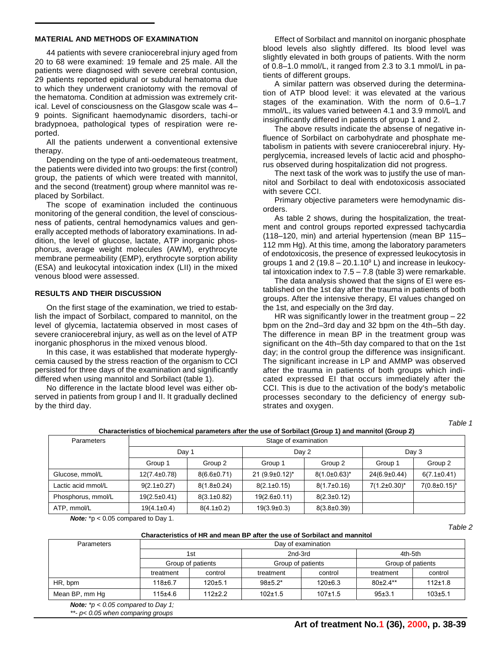#### **MATERIAL AND METHODS OF EXAMINATION**

44 patients with severe craniocerebral injury aged from 20 to 68 were examined: 19 female and 25 male. All the patients were diagnosed with severe cerebral contusion, 29 patients reported epidural or subdural hematoma due to which they underwent craniotomy with the removal of the hematoma. Condition at admission was extremely critical. Level of consciousness on the Glasgow scale was 4– 9 points. Significant haemodynamic disorders, tachi-or bradypnoea, pathological types of respiration were reported.

All the patients underwent a conventional extensive therapy.

Depending on the type of anti-oedemateous treatment, the patients were divided into two groups: the first (control) group, the patients of which were treated with mannitol, and the second (treatment) group where mannitol was replaced by Sorbilact.

The scope of examination included the continuous monitoring of the general condition, the level of consciousness of patients, сentral hemodynamics values and generally accepted methods of laboratory examinations. In addition, the level of glucose, lactate, ATP inorganic phosphorus, average weight molecules (AWM), erythrocyte membrane permeability (EMP), erythrocyte sorption ability (ESA) and leukocytal intoxication index (LII) in the mixed venous blood were assessed.

#### **RESULTS AND THEIR DISCUSSION**

On the first stage of the examination, we tried to establish the impact of Sorbilact, compared to mannitol, on the level of glycemia, lactatemia observed in most cases of severe craniocerebral injury, as well as on the level of ATP inorganic phosphorus in the mixed venous blood.

In this case, it was established that moderate hyperglycemia caused by the stress reaction of the organism to CCI persisted for three days of the examination and significantly differed when using mannitol and Sorbilact (table 1).

No difference in the lactate blood level was either observed in patients from group I and II. It gradually declined by the third day.

Effect of Sorbilact and mannitol on inorganic phosphate blood levels also slightly differed. Its blood level was slightly elevated in both groups of patients. With the norm of 0.8–1.0 mmol/L, it ranged from 2.3 to 3.1 mmol/L in patients of different groups.

A similar pattern was observed during the determination of ATP blood level: it was elevated at the various stages of the examination. With the norm of 0.6–1.7 mmol/L, its values varied between 4.1 and 3.9 mmol/L and insignificantly differed in patients of group 1 and 2.

The above results indicate the absense of negative influence of Sorbilact on carbohydrate and phosphate metabolism in patients with severe craniocerebral injury. Hyperglycemia, increased levels of lactic acid and phosphorus observed during hospitalization did not progress.

The next task of the work was to justify the use of mannitol and Sorbilact to deal with endotoxicosis associated with severe CCI.

Primary objective parameters were hemodynamic disorders.

As table 2 shows, during the hospitalization, the treatment and control groups reported expressed tachycardia (118–120, min) and arterial hypertension (mean BP 115– 112 mm Hg). At this time, among the laboratory parameters of endotoxicosis, the presence of expressed leukocytosis in groups 1 and 2 (19.8 – 20.1.10 $\degree$  L) and increase in leukocytal intoxication index to  $7.5 - 7.8$  (table 3) were remarkable.

The data analysis showed that the signs of EI were established on the 1st day after the trauma in patients of both groups. After the intensive therapy, EI values changed on the 1st, and especially on the 3rd day.

HR was significantly lower in the treatment group – 22 bpm on the 2nd–3rd day and 32 bpm on the 4th–5th day. The difference in mean BP in the treatment group was significant on the 4th–5th day compared to that on the 1st day; in the control group the difference was insignificant. The significant increase in LP and AMMP was observed after the trauma in patients of both groups which indicated expressed EI that occurs immediately after the CCI. This is due to the activation of the body's metabolic processes secondary to the deficiency of energy substrates and oxygen.

*Table 1*

*Table 2*

| Parameters         | Stage of examination |                   |                         |                     |                     |                     |
|--------------------|----------------------|-------------------|-------------------------|---------------------|---------------------|---------------------|
|                    | Day 1                |                   | Day 2                   |                     | Day 3               |                     |
|                    | Group 1              | Group 2           | Group 1                 | Group 2             | Group 1             | Group 2             |
| Glucose, mmol/L    | $12(7.4\pm0.78)$     | $8(6.6 \pm 0.71)$ | $21 (9.9 \pm 0.12)^{*}$ | $8(1.0 \pm 0.63)^*$ | $24(6.9 \pm 0.44)$  | $6(7.1\pm0.41)$     |
| Lactic acid mmol/L | $9(2.1 \pm 0.27)$    | $8(1.8 \pm 0.24)$ | $8(2.1\pm0.15)$         | $8(1.7\pm0.16)$     | $7(1.2\pm0.30)^{*}$ | $7(0.8 \pm 0.15)^*$ |
| Phosphorus, mmol/L | $19(2.5 \pm 0.41)$   | $8(3.1\pm0.82)$   | $19(2.6 \pm 0.11)$      | $8(2.3 \pm 0.12)$   |                     |                     |
| ATP, mmol/L        | $19(4.1\pm0.4)$      | $8(4.1\pm0.2)$    | $19(3.9\pm0.3)$         | $8(3.8 \pm 0.39)$   |                     |                     |

### **Characteristics of biochemical parameters after the use of Sorbilact (Group 1) and mannitol (Group 2)**

*Note:* \*p < 0.05 compared to Day 1.

|  | Characteristics of HR and mean BP after the use of Sorbilact and mannitol |  |
|--|---------------------------------------------------------------------------|--|
|  |                                                                           |  |

| Parameters     | Day of examination       |           |                              |               |                              |             |  |  |
|----------------|--------------------------|-----------|------------------------------|---------------|------------------------------|-------------|--|--|
|                | 1st<br>Group of patients |           | 2nd-3rd<br>Group of patients |               | 4th-5th<br>Group of patients |             |  |  |
|                |                          |           |                              |               |                              |             |  |  |
|                | treatment                | control   | treatment                    | control       | treatment                    | control     |  |  |
| HR, bpm        | $118 + 6.7$              | 120±5.1   | $98+5.2*$                    | $120 \pm 6.3$ | $80+24**$                    | 112±1.8     |  |  |
| Mean BP, mm Hg | $115+4.6$                | $112+2.2$ | $102+1.5$                    | $107+1.5$     | 95±3.1                       | $103 + 5.1$ |  |  |
|                |                          |           |                              |               |                              |             |  |  |

*Note: \*p < 0.05 compared* to *Day 1;*

*\*\*- p< 0.05 when comparing groups*